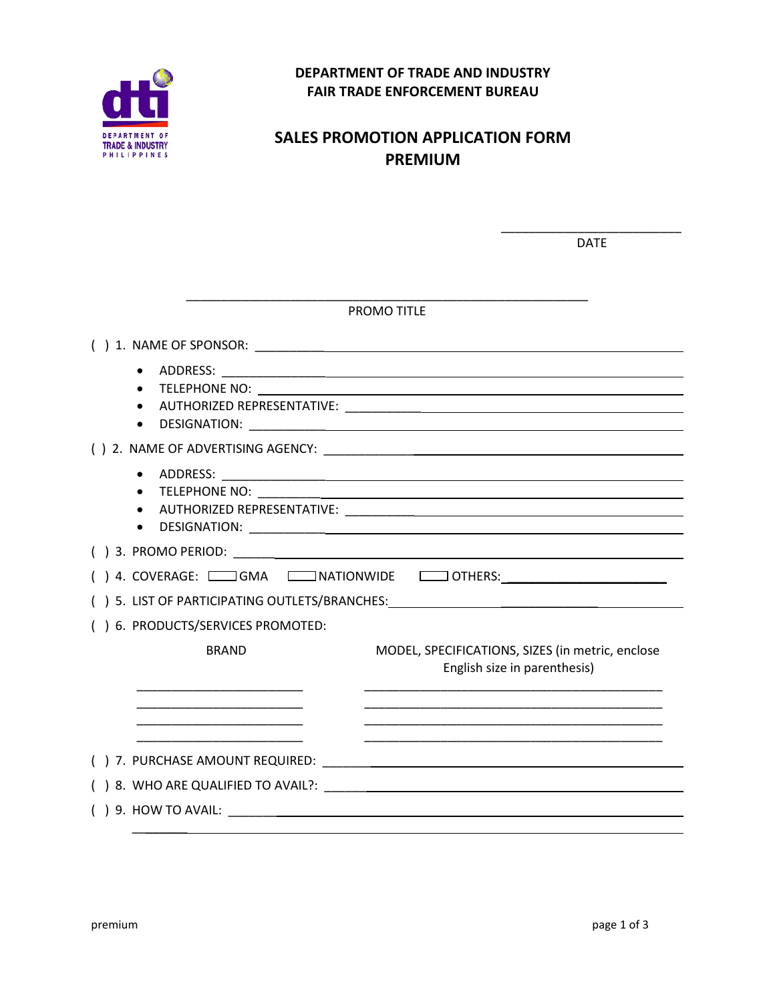

## **DEPARTMENT OF TRADE AND INDUSTRY FAIR TRADE ENFORCEMENT BUREAU**

## **SALES PROMOTION APPLICATION FORM PREMIUM**

|                                   | <b>DATE</b>                                                                                                                                                                                                                    |
|-----------------------------------|--------------------------------------------------------------------------------------------------------------------------------------------------------------------------------------------------------------------------------|
|                                   |                                                                                                                                                                                                                                |
|                                   | PROMO TITLE                                                                                                                                                                                                                    |
|                                   |                                                                                                                                                                                                                                |
|                                   |                                                                                                                                                                                                                                |
|                                   |                                                                                                                                                                                                                                |
|                                   |                                                                                                                                                                                                                                |
| <b>TELEPHONE NO:</b><br>$\bullet$ | <u> 1989 - Johann Harry Harry Harry Harry Harry Harry Harry Harry Harry Harry Harry Harry Harry Harry Harry Harry</u>                                                                                                          |
|                                   |                                                                                                                                                                                                                                |
|                                   | ) 4. COVERAGE: COOKING CONTRACTION WIDE COOKINERS: And COVERAGE: COOKING CONTRACTION WIDE COOKING CONTRACTS                                                                                                                    |
|                                   | ) 5. LIST OF PARTICIPATING OUTLETS/BRANCHES: North and the state of the state of the state of the state of the state of the state of the state of the state of the state of the state of the state of the state of the state o |
| ) 6. PRODUCTS/SERVICES PROMOTED:  |                                                                                                                                                                                                                                |
| <b>BRAND</b>                      | MODEL, SPECIFICATIONS, SIZES (in metric, enclose<br>English size in parenthesis)                                                                                                                                               |
|                                   |                                                                                                                                                                                                                                |
|                                   |                                                                                                                                                                                                                                |
|                                   |                                                                                                                                                                                                                                |
|                                   | ) 8. WHO ARE QUALIFIED TO AVAIL?: Note that the state of the state of the state of the state of the state of the state of the state of the state of the state of the state of the state of the state of the state of the state |
| $( ) 9.$ HOW TO AVAIL:            |                                                                                                                                                                                                                                |

 $\overline{\phantom{a}}$  ,  $\overline{\phantom{a}}$  ,  $\overline{\phantom{a}}$  ,  $\overline{\phantom{a}}$  ,  $\overline{\phantom{a}}$  ,  $\overline{\phantom{a}}$  ,  $\overline{\phantom{a}}$  ,  $\overline{\phantom{a}}$  ,  $\overline{\phantom{a}}$  ,  $\overline{\phantom{a}}$  ,  $\overline{\phantom{a}}$  ,  $\overline{\phantom{a}}$  ,  $\overline{\phantom{a}}$  ,  $\overline{\phantom{a}}$  ,  $\overline{\phantom{a}}$  ,  $\overline{\phantom{a}}$ 

\_\_\_\_\_\_\_\_\_\_\_\_\_\_\_\_\_\_\_\_\_\_\_\_\_\_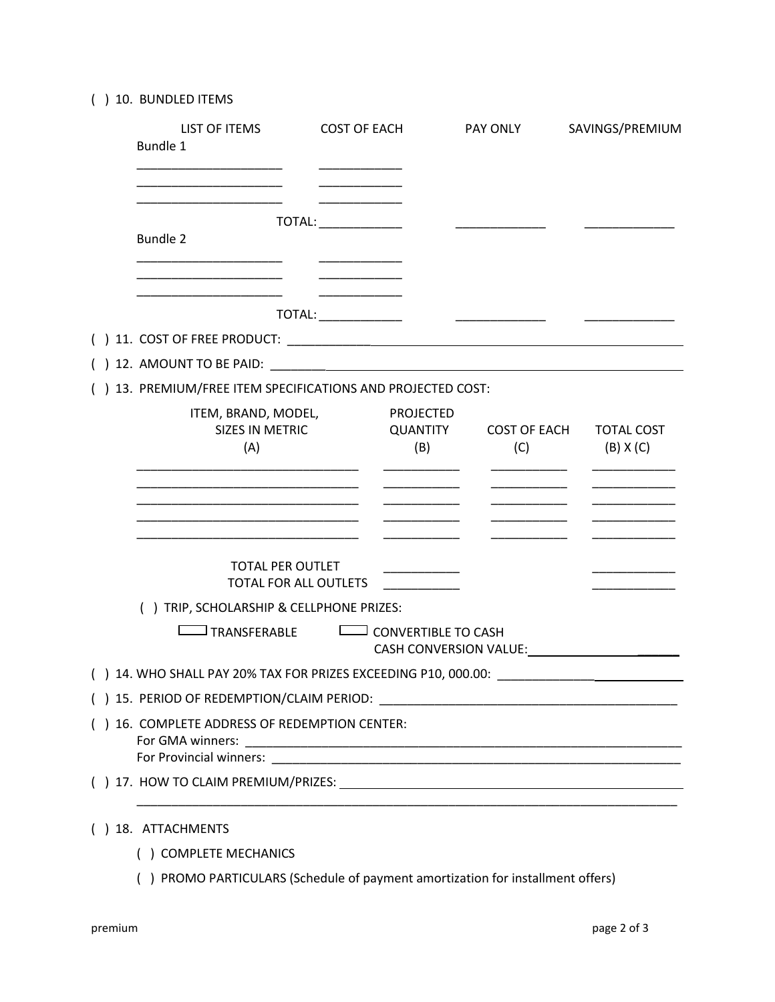( ) 10. BUNDLED ITEMS

|  | LIST OF ITEMS<br>Bundle 1                                                                                                 | <b>COST OF EACH</b>  |                                     | PAY ONLY                   | SAVINGS/PREMIUM                    |  |  |  |
|--|---------------------------------------------------------------------------------------------------------------------------|----------------------|-------------------------------------|----------------------------|------------------------------------|--|--|--|
|  | <b>Bundle 2</b>                                                                                                           | TOTAL: TOTAL:        |                                     |                            |                                    |  |  |  |
|  |                                                                                                                           | TOTAL: _____________ |                                     |                            |                                    |  |  |  |
|  |                                                                                                                           |                      |                                     |                            |                                    |  |  |  |
|  | () 13. PREMIUM/FREE ITEM SPECIFICATIONS AND PROJECTED COST:                                                               |                      |                                     |                            |                                    |  |  |  |
|  | ITEM, BRAND, MODEL,<br>SIZES IN METRIC<br>(A)                                                                             |                      | <b>PROJECTED</b><br>QUANTITY<br>(B) | <b>COST OF EACH</b><br>(C) | <b>TOTAL COST</b><br>$(B)$ X $(C)$ |  |  |  |
|  | <b>TOTAL PER OUTLET</b><br>TOTAL FOR ALL OUTLETS<br>() TRIP, SCHOLARSHIP & CELLPHONE PRIZES:<br><sup>]</sup> TRANSFERABLE |                      | <b>CONVERTIBLE TO CASH</b>          |                            |                                    |  |  |  |
|  |                                                                                                                           |                      |                                     | CASH CONVERSION VALUE:     |                                    |  |  |  |
|  | () 14. WHO SHALL PAY 20% TAX FOR PRIZES EXCEEDING P10, 000.00:                                                            |                      |                                     |                            |                                    |  |  |  |
|  | ( )  15.  PERIOD OF REDEMPTION/CLAIM PERIOD: ___________________________________                                          |                      |                                     |                            |                                    |  |  |  |
|  | () 16. COMPLETE ADDRESS OF REDEMPTION CENTER:                                                                             |                      |                                     |                            |                                    |  |  |  |
|  |                                                                                                                           |                      |                                     |                            |                                    |  |  |  |
|  | () 18. ATTACHMENTS                                                                                                        |                      |                                     |                            |                                    |  |  |  |

- ( ) COMPLETE MECHANICS
- ( ) PROMO PARTICULARS (Schedule of payment amortization for installment offers)